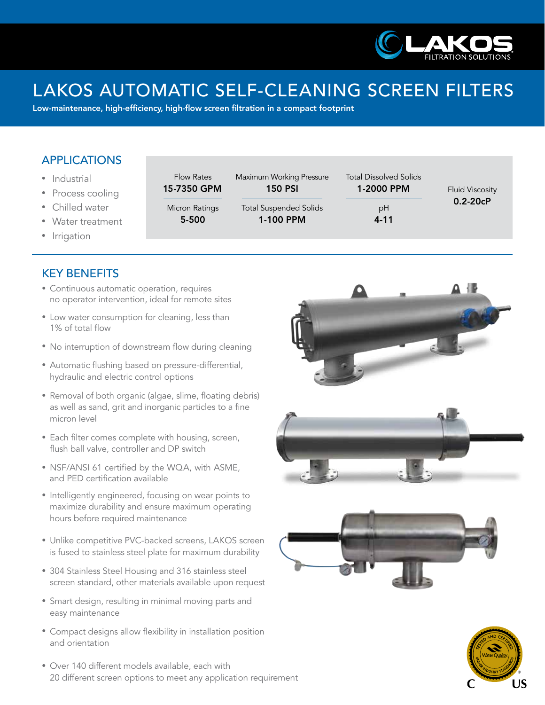

1-2000 PPM Fluid Viscosity

0.2-20cP

# LAKOS AUTOMATIC SELF-CLEANING SCREEN FILTERS

Maximum Working Pressure 150 PSI

Total Suspended Solids 1-100 PPM

Low-maintenance, high-efficiency, high-flow screen filtration in a compact footprint

Flow Rates 15-7350 GPM

Micron Ratings 5-500

# APPLICATIONS

- Industrial
- Process cooling
- Chilled water
- Water treatment
- Irrigation

# KEY BENEFITS

- Continuous automatic operation, requires no operator intervention, ideal for remote sites
- Low water consumption for cleaning, less than 1% of total flow
- No interruption of downstream flow during cleaning
- Automatic flushing based on pressure-differential, hydraulic and electric control options
- Removal of both organic (algae, slime, floating debris) as well as sand, grit and inorganic particles to a fine micron level
- Each filter comes complete with housing, screen, flush ball valve, controller and DP switch
- NSF/ANSI 61 certified by the WQA, with ASME, and PED certification available
- Intelligently engineered, focusing on wear points to maximize durability and ensure maximum operating hours before required maintenance
- Unlike competitive PVC-backed screens, LAKOS screen is fused to stainless steel plate for maximum durability
- 304 Stainless Steel Housing and 316 stainless steel screen standard, other materials available upon request
- Smart design, resulting in minimal moving parts and easy maintenance
- Compact designs allow flexibility in installation position and orientation
- Over 140 different models available, each with 20 different screen options to meet any application requirement



Total Dissolved Solids

pH 4-11



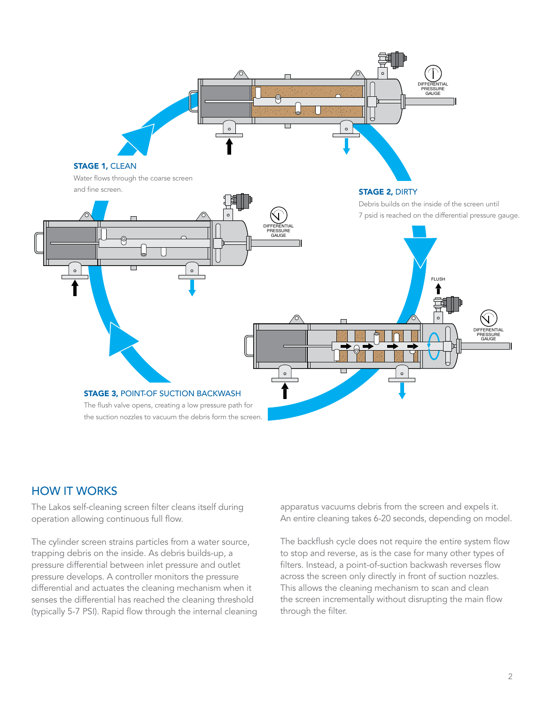

# HOW IT WORKS

The Lakos self-cleaning screen filter cleans itself during operation allowing continuous full flow.

The cylinder screen strains particles from a water source, trapping debris on the inside. As debris builds-up, a pressure differential between inlet pressure and outlet pressure develops. A controller monitors the pressure differential and actuates the cleaning mechanism when it senses the differential has reached the cleaning threshold (typically 5-7 PSI). Rapid flow through the internal cleaning apparatus vacuums debris from the screen and expels it. An entire cleaning takes 6-20 seconds, depending on model.

The backflush cycle does not require the entire system flow to stop and reverse, as is the case for many other types of filters. Instead, a point-of-suction backwash reverses flow across the screen only directly in front of suction nozzles. This allows the cleaning mechanism to scan and clean the screen incrementally without disrupting the main flow through the filter.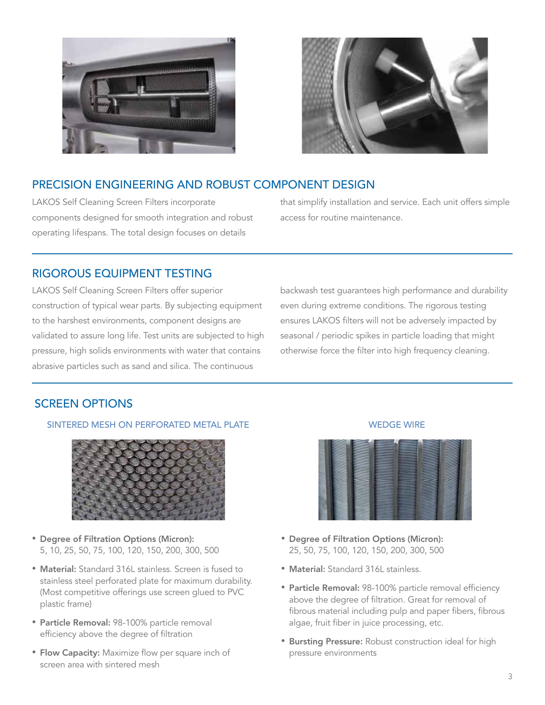

# PRECISION ENGINEERING AND ROBUST COMPONENT DESIGN

LAKOS Self Cleaning Screen Filters incorporate components designed for smooth integration and robust operating lifespans. The total design focuses on details

that simplify installation and service. Each unit offers simple access for routine maintenance.

# RIGOROUS EQUIPMENT TESTING

LAKOS Self Cleaning Screen Filters offer superior construction of typical wear parts. By subjecting equipment to the harshest environments, component designs are validated to assure long life. Test units are subjected to high pressure, high solids environments with water that contains abrasive particles such as sand and silica. The continuous

backwash test guarantees high performance and durability even during extreme conditions. The rigorous testing ensures LAKOS filters will not be adversely impacted by seasonal / periodic spikes in particle loading that might otherwise force the filter into high frequency cleaning.

# SCREEN OPTIONS

### SINTERED MESH ON PERFORATED METAL PLATE WEDGE WIRE WEDGE WIRE



- Degree of Filtration Options (Micron): 5, 10, 25, 50, 75, 100, 120, 150, 200, 300, 500
- Material: Standard 316L stainless. Screen is fused to stainless steel perforated plate for maximum durability. (Most competitive offerings use screen glued to PVC plastic frame)
- Particle Removal: 98-100% particle removal efficiency above the degree of filtration
- Flow Capacity: Maximize flow per square inch of screen area with sintered mesh





- Degree of Filtration Options (Micron): 25, 50, 75, 100, 120, 150, 200, 300, 500
- Material: Standard 316L stainless.
- Particle Removal: 98-100% particle removal efficiency above the degree of filtration. Great for removal of fibrous material including pulp and paper fibers, fibrous algae, fruit fiber in juice processing, etc.
- Bursting Pressure: Robust construction ideal for high pressure environments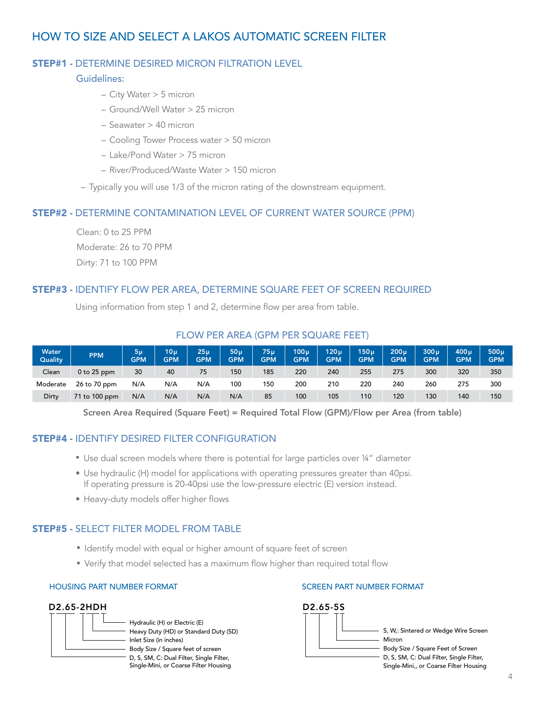# HOW TO SIZE AND SELECT A LAKOS AUTOMATIC SCREEN FILTER

### STEP#1 - DETERMINE DESIRED MICRON FILTRATION LEVEL

### Guidelines:

- City Water > 5 micron
- Ground/Well Water > 25 micron
- Seawater > 40 micron
- Cooling Tower Process water > 50 micron
- Lake/Pond Water > 75 micron
- River/Produced/Waste Water > 150 micron

– Typically you will use 1/3 of the micron rating of the downstream equipment.

### STEP#2 - DETERMINE CONTAMINATION LEVEL OF CURRENT WATER SOURCE (PPM)

Clean: 0 to 25 PPM Moderate: 26 to 70 PPM Dirty: 71 to 100 PPM

### STEP#3 - IDENTIFY FLOW PER AREA, DETERMINE SQUARE FEET OF SCREEN REQUIRED

Using information from step 1 and 2, determine flow per area from table.

### FLOW PER AREA (GPM PER SQUARE FEET)

| <b>Water</b><br>Quality | <b>PPM</b>      | 5u<br><b>GPM</b> | 10 <sub>µ</sub><br><b>GPM</b> | 25 <sub>µ</sub><br><b>GPM</b> | 50 <sub>µ</sub><br><b>GPM</b> | <b>75u</b><br><b>GPM</b> | $100\mu$<br><b>GPM</b> | 120 <sub>µ</sub><br><b>GPM</b> | 150 <sub>µ</sub><br><b>GPM</b> | 200 <sub>µ</sub><br><b>GPM</b> | 300 <sub>µ</sub><br><b>GPM</b> | 400 <sub>µ</sub><br><b>GPM</b> | 500u<br><b>GPM</b> |
|-------------------------|-----------------|------------------|-------------------------------|-------------------------------|-------------------------------|--------------------------|------------------------|--------------------------------|--------------------------------|--------------------------------|--------------------------------|--------------------------------|--------------------|
| Clean                   | $0$ to $25$ ppm | 30               | 40                            | 75                            | 150                           | 185                      | 220                    | 240                            | 255                            | 275                            | 300                            | 320                            | 350                |
| Moderate                | 26 to 70 ppm    | N/A              | N/A                           | N/A                           | 100                           | 150                      | 200                    | 210                            | 220                            | 240                            | 260                            | 275                            | 300                |
| Dirty                   | 71 to 100 ppm   | N/A              | N/A                           | N/A                           | N/A                           | 85                       | 100                    | 105                            | 110                            | 120                            | 130                            | 140                            | 150                |

Screen Area Required (Square Feet) = Required Total Flow (GPM)/Flow per Area (from table)

### STEP#4 - IDENTIFY DESIRED FILTER CONFIGURATION

- Use dual screen models where there is potential for large particles over 1/4" diameter
- Use hydraulic (H) model for applications with operating pressures greater than 40psi. If operating pressure is 20-40psi use the low-pressure electric (E) version instead.
- Heavy-duty models offer higher flows

### STEP#5 - SELECT FILTER MODEL FROM TABLE

- Identify model with equal or higher amount of square feet of screen
- Verify that model selected has a maximum flow higher than required total flow

### HOUSING PART NUMBER FORMAT SCREEN PART NUMBER FORMAT





S, W,: Sintered or Wedge Wire Screen Micron Body Size / Square Feet of Screen D, S, SM, C: Dual Filter, Single Filter, Single-Mini,, or Coarse Filter Housing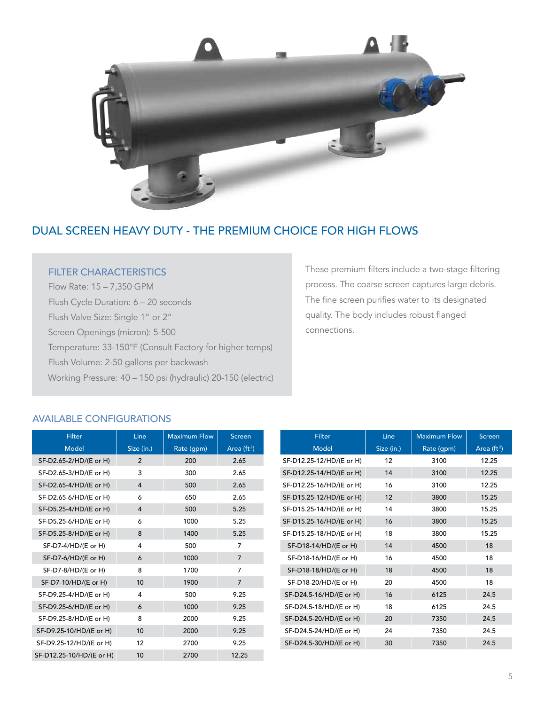

# DUAL SCREEN HEAVY DUTY - THE PREMIUM CHOICE FOR HIGH FLOWS

### FILTER CHARACTERISTICS

Flow Rate: 15 – 7,350 GPM Flush Cycle Duration: 6 – 20 seconds Flush Valve Size: Single 1" or 2" Screen Openings (micron): 5-500 Temperature: 33-150°F (Consult Factory for higher temps) Flush Volume: 2-50 gallons per backwash Working Pressure: 40 – 150 psi (hydraulic) 20-150 (electric) These premium filters include a two-stage filtering process. The coarse screen captures large debris. The fine screen purifies water to its designated quality. The body includes robust flanged connections.

### AVAILABLE CONFIGURATIONS

| Filter                   | Line           | <b>Maximum Flow</b> | <b>Screen</b>  | <b>Filter</b>        |
|--------------------------|----------------|---------------------|----------------|----------------------|
| <b>Model</b>             | Size (in.)     | Rate (gpm)          | Area $(ft^2)$  | Model                |
| SF-D2.65-2/HD/(E or H)   | $\overline{2}$ | 200                 | 2.65           | SF-D12.25-12/HD/(E o |
| SF-D2.65-3/HD/(E or H)   | 3              | 300                 | 2.65           | SF-D12.25-14/HD/(E o |
| SF-D2.65-4/HD/(E or H)   | 4              | 500                 | 2.65           | SF-D12.25-16/HD/(E o |
| SF-D2.65-6/HD/(E or H)   | 6              | 650                 | 2.65           | SF-D15.25-12/HD/(E o |
| SF-D5.25-4/HD/(E or H)   | 4              | 500                 | 5.25           | SF-D15.25-14/HD/(E o |
| SF-D5.25-6/HD/(E or H)   | 6              | 1000                | 5.25           | SF-D15.25-16/HD/(E o |
| SF-D5.25-8/HD/(E or H)   | 8              | 1400                | 5.25           | SF-D15.25-18/HD/(E o |
| SF-D7-4/HD/(E or H)      | 4              | 500                 | 7              | SF-D18-14/HD/(E or   |
| SF-D7-6/HD/(E or H)      | 6              | 1000                | $\overline{7}$ | SF-D18-16/HD/(E or   |
| SF-D7-8/HD/(E or H)      | 8              | 1700                | 7              | SF-D18-18/HD/(E or   |
| SF-D7-10/HD/(E or H)     | 10             | 1900                | $\overline{7}$ | SF-D18-20/HD/(E or   |
| SF-D9.25-4/HD/(E or H)   | 4              | 500                 | 9.25           | SF-D24.5-16/HD/(E or |
| SF-D9.25-6/HD/(E or H)   | 6              | 1000                | 9.25           | SF-D24.5-18/HD/(E or |
| SF-D9.25-8/HD/(E or H)   | 8              | 2000                | 9.25           | SF-D24.5-20/HD/(E or |
| SF-D9.25-10/HD/(E or H)  | 10             | 2000                | 9.25           | SF-D24.5-24/HD/(E or |
| SF-D9.25-12/HD/(E or H)  | 12             | 2700                | 9.25           | SF-D24.5-30/HD/(E or |
| SF-D12.25-10/HD/(E or H) | 10             | 2700                | 12.25          |                      |
|                          |                |                     |                |                      |

| <b>Filter</b>            | Line       | <b>Maximum Flow</b> | Screen       |
|--------------------------|------------|---------------------|--------------|
| <b>Model</b>             | Size (in.) | Rate (gpm)          | Area $(ft2)$ |
| SF-D12.25-12/HD/(E or H) | 12         | 3100                | 12.25        |
| SF-D12.25-14/HD/(E or H) | 14         | 3100                | 12.25        |
| SF-D12.25-16/HD/(E or H) | 16         | 3100                | 12.25        |
| SF-D15.25-12/HD/(E or H) | 12         | 3800                | 15.25        |
| SF-D15.25-14/HD/(E or H) | 14         | 3800                | 15.25        |
| SF-D15.25-16/HD/(E or H) | 16         | 3800                | 15.25        |
| SF-D15.25-18/HD/(E or H) | 18         | 3800                | 15.25        |
| SF-D18-14/HD/(E or H)    | 14         | 4500                | 18           |
| SF-D18-16/HD/(E or H)    | 16         | 4500                | 18           |
| SF-D18-18/HD/(E or H)    | 18         | 4500                | 18           |
| SF-D18-20/HD/(E or H)    | 20         | 4500                | 18           |
| SF-D24.5-16/HD/(E or H)  | 16         | 6125                | 24.5         |
| SF-D24.5-18/HD/(E or H)  | 18         | 6125                | 24.5         |
| SF-D24.5-20/HD/(E or H)  | 20         | 7350                | 24.5         |
| SF-D24.5-24/HD/(E or H)  | 24         | 7350                | 24.5         |
| SF-D24.5-30/HD/(E or H)  | 30         | 7350                | 24.5         |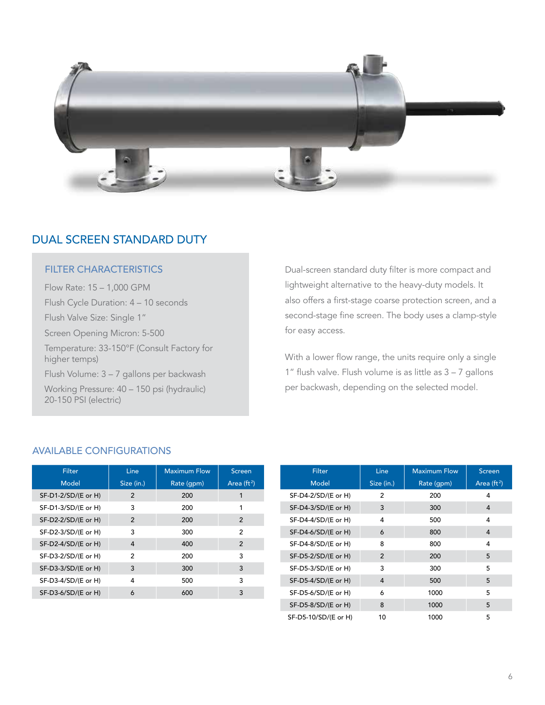

# DUAL SCREEN STANDARD DUTY

### FILTER CHARACTERISTICS

Flow Rate: 15 – 1,000 GPM Flush Cycle Duration: 4 – 10 seconds Flush Valve Size: Single 1" Screen Opening Micron: 5-500 Temperature: 33-150°F (Consult Factory for higher temps)

Flush Volume: 3 – 7 gallons per backwash

Working Pressure: 40 – 150 psi (hydraulic) 20-150 PSI (electric)

Dual-screen standard duty filter is more compact and lightweight alternative to the heavy-duty models. It also offers a first-stage coarse protection screen, and a second-stage fine screen. The body uses a clamp-style for easy access.

With a lower flow range, the units require only a single 1" flush valve. Flush volume is as little as 3 – 7 gallons per backwash, depending on the selected model.

### AVAILABLE CONFIGURATIONS

| Filter              | Line           | <b>Maximum Flow</b> | Screen        |
|---------------------|----------------|---------------------|---------------|
| Model               | Size (in.)     | Rate (gpm)          | Area $(ft^2)$ |
| SF-D1-2/SD/(E or H) | $\overline{2}$ | 200                 |               |
| SF-D1-3/SD/(E or H) | 3              | 200                 |               |
| SF-D2-2/SD/(E or H) | $\mathcal{P}$  | 200                 | 2             |
| SF-D2-3/SD/(E or H) | 3              | 300                 | 2             |
| SF-D2-4/SD/(E or H) | 4              | 400                 | $\mathcal{P}$ |
| SF-D3-2/SD/(E or H) | 2              | 200                 | 3             |
| SF-D3-3/SD/(E or H) | 3              | 300                 | 3             |
| SF-D3-4/SD/(E or H) | 4              | 500                 | 3             |
| SF-D3-6/SD/(E or H) | 6              | 600                 | 3             |

| Filter               | Line           | <b>Maximum Flow</b> | <b>Screen</b> |
|----------------------|----------------|---------------------|---------------|
| <b>Model</b>         | Size (in.)     | Rate (gpm)          | Area $(ft^2)$ |
| SF-D4-2/SD/(E or H)  | $\overline{2}$ | 200                 | 4             |
| SF-D4-3/SD/(E or H)  | 3              | 300                 | 4             |
| SF-D4-4/SD/(E or H)  | 4              | 500                 | 4             |
| SF-D4-6/SD/(E or H)  | 6              | 800                 | 4             |
| SF-D4-8/SD/(E or H)  | 8              | 800                 | 4             |
| SF-D5-2/SD/(E or H)  | $\mathfrak{p}$ | 200                 | 5             |
| SF-D5-3/SD/(E or H)  | 3              | 300                 | 5             |
| SF-D5-4/SD/(E or H)  | 4              | 500                 | 5             |
| SF-D5-6/SD/(E or H)  | 6              | 1000                | 5             |
| SF-D5-8/SD/(E or H)  | 8              | 1000                | 5             |
| SF-D5-10/SD/(E or H) | 10             | 1000                | 5             |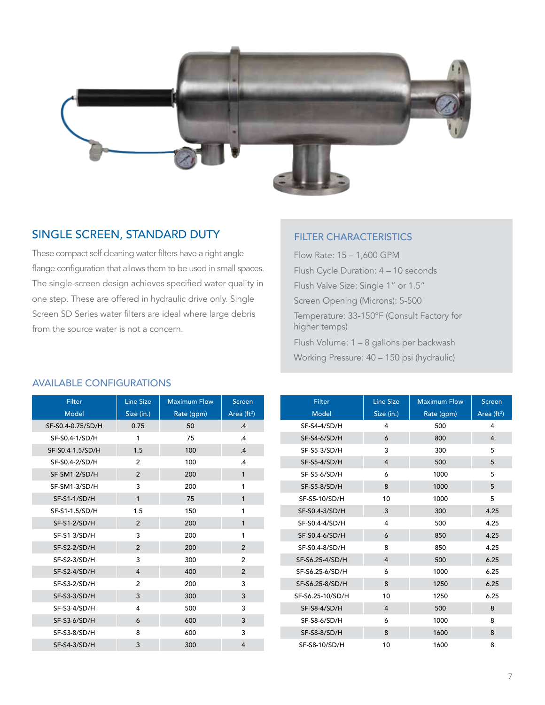

# SINGLE SCREEN, STANDARD DUTY

These compact self cleaning water filters have a right angle flange configuration that allows them to be used in small spaces. The single-screen design achieves specified water quality in one step. These are offered in hydraulic drive only. Single Screen SD Series water filters are ideal where large debris from the source water is not a concern.

### FILTER CHARACTERISTICS

Flow Rate: 15 – 1,600 GPM Flush Cycle Duration: 4 – 10 seconds Flush Valve Size: Single 1" or 1.5" Screen Opening (Microns): 5-500 Temperature: 33-150°F (Consult Factory for higher temps) Flush Volume: 1 – 8 gallons per backwash Working Pressure: 40 – 150 psi (hydraulic)

### AVAILABLE CONFIGURATIONS

| Filter              | <b>Line Size</b> | <b>Maximum Flow</b> | <b>Screen</b>  |
|---------------------|------------------|---------------------|----------------|
| <b>Model</b>        | Size (in.)       | Rate (gpm)          | Area $(ft2)$   |
| SF-S0.4-0.75/SD/H   | 0.75             | 50                  | .4             |
| SF-S0.4-1/SD/H      | 1                | 75                  | $\cdot$        |
| SF-S0.4-1.5/SD/H    | 1.5              | 100                 | .4             |
| SF-S0.4-2/SD/H      | $\overline{2}$   | 100                 | $\cdot$        |
| SF-SM1-2/SD/H       | $\mathfrak{p}$   | 200                 | 1              |
| SF-SM1-3/SD/H       | 3                | 200                 | 1              |
| $SF-S1-1/SD/H$      | 1                | 75                  | 1              |
| SF-S1-1.5/SD/H      | 1.5              | 150                 | 1              |
| <b>SF-S1-2/SD/H</b> | $\overline{2}$   | 200                 | 1              |
| SF-S1-3/SD/H        | 3                | 200                 | 1              |
| SF-S2-2/SD/H        | $\overline{2}$   | 200                 | $\overline{2}$ |
| SF-S2-3/SD/H        | 3                | 300                 | $\overline{2}$ |
| <b>SF-S2-4/SD/H</b> | $\overline{4}$   | 400                 | $\overline{2}$ |
| SF-S3-2/SD/H        | $\overline{2}$   | 200                 | 3              |
| SF-S3-3/SD/H        | 3                | 300                 | 3              |
| SF-S3-4/SD/H        | 4                | 500                 | 3              |
| SF-S3-6/SD/H        | 6                | 600                 | 3              |
| SF-S3-8/SD/H        | 8                | 600                 | 3              |
| $SF-S4-3/SD/H$      | 3                | 300                 | $\overline{4}$ |

| <b>Eilter</b>       | <b>Line Size</b> | <b>Maximum Flow</b> | <b>Screen</b> |
|---------------------|------------------|---------------------|---------------|
| <b>Model</b>        | Size (in.)       | Rate (gpm)          | Area $(ft2)$  |
| SF-S4-4/SD/H        | 4                | 500                 | 4             |
| SF-S4-6/SD/H        | 6                | 800                 | 4             |
| SF-S5-3/SD/H        | 3                | 300                 | 5             |
| <b>SF-S5-4/SD/H</b> | $\overline{4}$   | 500                 | 5             |
| SF-S5-6/SD/H        | 6                | 1000                | 5             |
| <b>SF-S5-8/SD/H</b> | 8                | 1000                | 5             |
| SF-S5-10/SD/H       | 10               | 1000                | 5             |
| SF-S0.4-3/SD/H      | 3                | 300                 | 4.25          |
| SF-S0.4-4/SD/H      | 4                | 500                 | 4.25          |
| SF-S0.4-6/SD/H      | 6                | 850                 | 4.25          |
| SF-S0.4-8/SD/H      | 8                | 850                 | 4.25          |
| SF-S6.25-4/SD/H     | $\overline{4}$   | 500                 | 6.25          |
| SF-S6.25-6/SD/H     | 6                | 1000                | 6.25          |
| SF-S6.25-8/SD/H     | 8                | 1250                | 6.25          |
| SF-S6.25-10/SD/H    | 10               | 1250                | 6.25          |
| SF-S8-4/SD/H        | $\overline{4}$   | 500                 | 8             |
| SF-S8-6/SD/H        | 6                | 1000                | 8             |
| SF-S8-8/SD/H        | 8                | 1600                | 8             |
| SF-S8-10/SD/H       | 10               | 1600                | 8             |